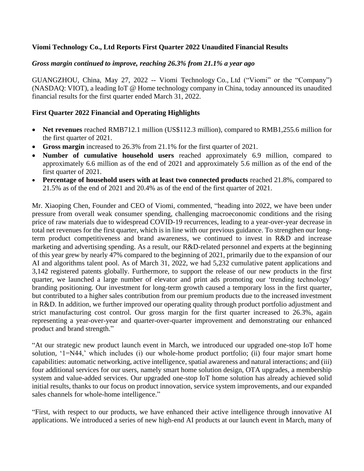# **Viomi Technology Co., Ltd Reports First Quarter 2022 Unaudited Financial Results**

## *Gross margin continued to improve, reaching 26.3% from 21.1% a year ago*

GUANGZHOU, China, May 27, 2022 -- Viomi Technology Co., Ltd ("Viomi" or the "Company") (NASDAQ: VIOT), a leading IoT @ Home technology company in China, today announced its unaudited financial results for the first quarter ended March 31, 2022.

## **First Quarter 2022 Financial and Operating Highlights**

- **Net revenues** reached RMB712.1 million (US\$112.3 million), compared to RMB1,255.6 million for the first quarter of 2021.
- **Gross margin** increased to 26.3% from 21.1% for the first quarter of 2021.
- **Number of cumulative household users** reached approximately 6.9 million, compared to approximately 6.6 million as of the end of 2021 and approximately 5.6 million as of the end of the first quarter of 2021.
- **Percentage of household users with at least two connected products** reached 21.8%, compared to 21.5% as of the end of 2021 and 20.4% as of the end of the first quarter of 2021.

Mr. Xiaoping Chen, Founder and CEO of Viomi, commented, "heading into 2022, we have been under pressure from overall weak consumer spending, challenging macroeconomic conditions and the rising price of raw materials due to widespread COVID-19 recurrences, leading to a year-over-year decrease in total net revenues for the first quarter, which is in line with our previous guidance. To strengthen our longterm product competitiveness and brand awareness, we continued to invest in R&D and increase marketing and advertising spending. As a result, our R&D-related personnel and experts at the beginning of this year grew by nearly 47% compared to the beginning of 2021, primarily due to the expansion of our AI and algorithms talent pool. As of March 31, 2022, we had 5,232 cumulative patent applications and 3,142 registered patents globally. Furthermore, to support the release of our new products in the first quarter, we launched a large number of elevator and print ads promoting our 'trending technology' branding positioning. Our investment for long-term growth caused a temporary loss in the first quarter, but contributed to a higher sales contribution from our premium products due to the increased investment in R&D. In addition, we further improved our operating quality through product portfolio adjustment and strict manufacturing cost control. Our gross margin for the first quarter increased to 26.3%, again representing a year-over-year and quarter-over-quarter improvement and demonstrating our enhanced product and brand strength."

"At our strategic new product launch event in March, we introduced our upgraded one-stop IoT home solution, '1=N44,' which includes (i) our whole-home product portfolio; (ii) four major smart home capabilities: automatic networking, active intelligence, spatial awareness and natural interactions; and (iii) four additional services for our users, namely smart home solution design, OTA upgrades, a membership system and value-added services. Our upgraded one-stop IoT home solution has already achieved solid initial results, thanks to our focus on product innovation, service system improvements, and our expanded sales channels for whole-home intelligence."

"First, with respect to our products, we have enhanced their active intelligence through innovative AI applications. We introduced a series of new high-end AI products at our launch event in March, many of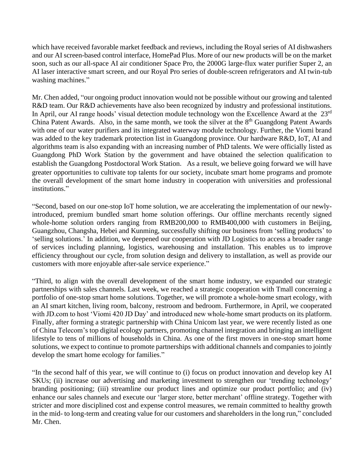which have received favorable market feedback and reviews, including the Royal series of AI dishwashers and our AI screen-based control interface, HomePad Plus. More of our new products will be on the market soon, such as our all-space AI air conditioner Space Pro, the 2000G large-flux water purifier Super 2, an AI laser interactive smart screen, and our Royal Pro series of double-screen refrigerators and AI twin-tub washing machines."

Mr. Chen added, "our ongoing product innovation would not be possible without our growing and talented R&D team. Our R&D achievements have also been recognized by industry and professional institutions. In April, our AI range hoods' visual detection module technology won the Excellence Award at the 23<sup>rd</sup> China Patent Awards. Also, in the same month, we took the silver at the 8<sup>th</sup> Guangdong Patent Awards with one of our water purifiers and its integrated waterway module technology. Further, the Viomi brand was added to the key trademark protection list in Guangdong province. Our hardware R&D, IoT, AI and algorithms team is also expanding with an increasing number of PhD talents. We were officially listed as Guangdong PhD Work Station by the government and have obtained the selection qualification to establish the Guangdong Postdoctoral Work Station. As a result, we believe going forward we will have greater opportunities to cultivate top talents for our society, incubate smart home programs and promote the overall development of the smart home industry in cooperation with universities and professional institutions."

"Second, based on our one-stop IoT home solution, we are accelerating the implementation of our newlyintroduced, premium bundled smart home solution offerings. Our offline merchants recently signed whole-home solution orders ranging from RMB200,000 to RMB400,000 with customers in Beijing, Guangzhou, Changsha, Hebei and Kunming, successfully shifting our business from 'selling products' to 'selling solutions.' In addition, we deepened our cooperation with JD Logistics to access a broader range of services including planning, logistics, warehousing and installation. This enables us to improve efficiency throughout our cycle, from solution design and delivery to installation, as well as provide our customers with more enjoyable after-sale service experience."

"Third, to align with the overall development of the smart home industry, we expanded our strategic partnerships with sales channels. Last week, we reached a strategic cooperation with Tmall concerning a portfolio of one-stop smart home solutions. Together, we will promote a whole-home smart ecology, with an AI smart kitchen, living room, balcony, restroom and bedroom. Furthermore, in April, we cooperated with JD.com to host 'Viomi 420 JD Day' and introduced new whole-home smart products on its platform. Finally, after forming a strategic partnership with China Unicom last year, we were recently listed as one of China Telecom's top digital ecology partners, promoting channel integration and bringing an intelligent lifestyle to tens of millions of households in China. As one of the first movers in one-stop smart home solutions, we expect to continue to promote partnerships with additional channels and companies to jointly develop the smart home ecology for families."

"In the second half of this year, we will continue to (i) focus on product innovation and develop key AI SKUs; (ii) increase our advertising and marketing investment to strengthen our 'trending technology' branding positioning; (iii) streamline our product lines and optimize our product portfolio; and (iv) enhance our sales channels and execute our 'larger store, better merchant' offline strategy. Together with stricter and more disciplined cost and expense control measures, we remain committed to healthy growth in the mid- to long-term and creating value for our customers and shareholders in the long run," concluded Mr. Chen.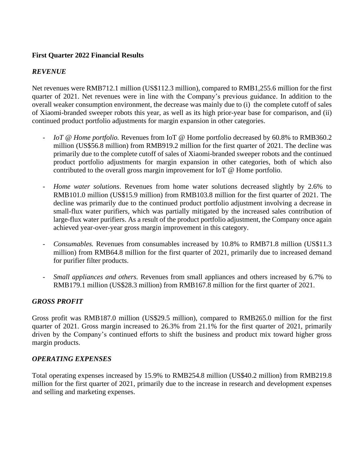# **First Quarter 2022 Financial Results**

# *REVENUE*

Net revenues were RMB712.1 million (US\$112.3 million), compared to RMB1,255.6 million for the first quarter of 2021. Net revenues were in line with the Company's previous guidance. In addition to the overall weaker consumption environment, the decrease was mainly due to (i) the complete cutoff of sales of Xiaomi-branded sweeper robots this year, as well as its high prior-year base for comparison, and (ii) continued product portfolio adjustments for margin expansion in other categories.

- *IoT* @ *Home portfolio*. Revenues from IoT @ Home portfolio decreased by 60.8% to RMB360.2 million (US\$56.8 million) from RMB919.2 million for the first quarter of 2021. The decline was primarily due to the complete cutoff of sales of Xiaomi-branded sweeper robots and the continued product portfolio adjustments for margin expansion in other categories, both of which also contributed to the overall gross margin improvement for IoT @ Home portfolio.
- *Home water solutions*. Revenues from home water solutions decreased slightly by 2.6% to RMB101.0 million (US\$15.9 million) from RMB103.8 million for the first quarter of 2021. The decline was primarily due to the continued product portfolio adjustment involving a decrease in small-flux water purifiers, which was partially mitigated by the increased sales contribution of large-flux water purifiers. As a result of the product portfolio adjustment, the Company once again achieved year-over-year gross margin improvement in this category.
- *Consumables.* Revenues from consumables increased by 10.8% to RMB71.8 million (US\$11.3 million) from RMB64.8 million for the first quarter of 2021, primarily due to increased demand for purifier filter products.
- *Small appliances and others.* Revenues from small appliances and others increased by 6.7% to RMB179.1 million (US\$28.3 million) from RMB167.8 million for the first quarter of 2021.

## *GROSS PROFIT*

Gross profit was RMB187.0 million (US\$29.5 million), compared to RMB265.0 million for the first quarter of 2021. Gross margin increased to 26.3% from 21.1% for the first quarter of 2021, primarily driven by the Company's continued efforts to shift the business and product mix toward higher gross margin products.

## *OPERATING EXPENSES*

Total operating expenses increased by 15.9% to RMB254.8 million (US\$40.2 million) from RMB219.8 million for the first quarter of 2021, primarily due to the increase in research and development expenses and selling and marketing expenses.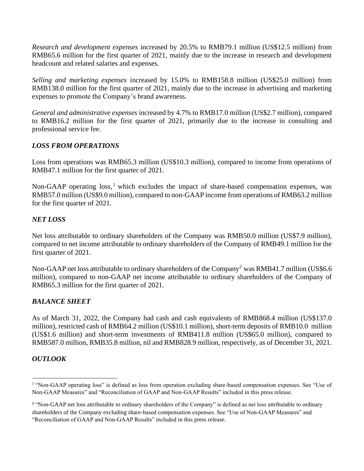*Research and development expenses* increased by 20.5% to RMB79.1 million (US\$12.5 million) from RMB65.6 million for the first quarter of 2021, mainly due to the increase in research and development headcount and related salaries and expenses.

*Selling and marketing expenses* increased by 15.0% to RMB158.8 million (US\$25.0 million) from RMB138.0 million for the first quarter of 2021, mainly due to the increase in advertising and marketing expenses to promote the Company's brand awareness.

*General and administrative expenses* increased by 4.7% to RMB17.0 million (US\$2.7 million), compared to RMB16.2 million for the first quarter of 2021, primarily due to the increase in consulting and professional service fee.

## *LOSS FROM OPERATIONS*

Loss from operations was RMB65.3 million (US\$10.3 million), compared to income from operations of RMB47.1 million for the first quarter of 2021.

Non-GAAP operating loss,<sup>1</sup> which excludes the impact of share-based compensation expenses, was RMB57.0 million (US\$9.0 million), compared to non-GAAP income from operations of RMB63.2 million for the first quarter of 2021.

# *NET LOSS*

Net loss attributable to ordinary shareholders of the Company was RMB50.0 million (US\$7.9 million), compared to net income attributable to ordinary shareholders of the Company of RMB49.1 million for the first quarter of 2021.

Non-GAAP net loss attributable to ordinary shareholders of the Company<sup>2</sup> was RMB41.7 million (US\$6.6) million), compared to non-GAAP net income attributable to ordinary shareholders of the Company of RMB65.3 million for the first quarter of 2021.

## *BALANCE SHEET*

As of March 31, 2022, the Company had cash and cash equivalents of RMB868.4 million (US\$137.0 million), restricted cash of RMB64.2 million (US\$10.1 million), short-term deposits of RMB10.0 million (US\$1.6 million) and short-term investments of RMB411.8 million (US\$65.0 million), compared to RMB587.0 million, RMB35.8 million, nil and RMB828.9 million, respectively, as of December 31, 2021.

# *OUTLOOK*

<sup>&</sup>lt;sup>1</sup> "Non-GAAP operating loss" is defined as loss from operation excluding share-based compensation expenses. See "Use of Non-GAAP Measures" and "Reconciliation of GAAP and Non-GAAP Results" included in this press release.

<sup>&</sup>lt;sup>2</sup> "Non-GAAP net loss attributable to ordinary shareholders of the Company" is defined as net loss attributable to ordinary shareholders of the Company excluding share-based compensation expenses. See "Use of Non-GAAP Measures" and "Reconciliation of GAAP and Non-GAAP Results" included in this press release.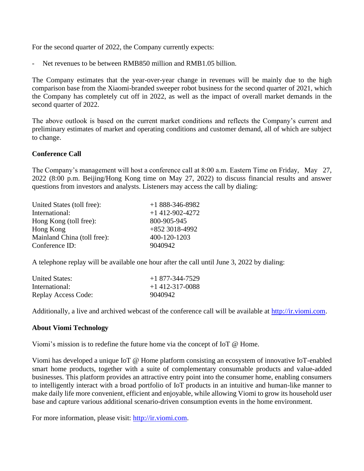For the second quarter of 2022, the Company currently expects:

- Net revenues to be between RMB850 million and RMB1.05 billion.

The Company estimates that the year-over-year change in revenues will be mainly due to the high comparison base from the Xiaomi-branded sweeper robot business for the second quarter of 2021, which the Company has completely cut off in 2022, as well as the impact of overall market demands in the second quarter of 2022.

The above outlook is based on the current market conditions and reflects the Company's current and preliminary estimates of market and operating conditions and customer demand, all of which are subject to change.

## **Conference Call**

The Company's management will host a conference call at 8:00 a.m. Eastern Time on Friday, May 27, 2022 (8:00 p.m. Beijing/Hong Kong time on May 27, 2022) to discuss financial results and answer questions from investors and analysts. Listeners may access the call by dialing:

| $+1888-346-8982$  |
|-------------------|
| $+1$ 412-902-4272 |
| 800-905-945       |
| +852 3018-4992    |
| 400-120-1203      |
| 9040942           |
|                   |

A telephone replay will be available one hour after the call until June 3, 2022 by dialing:

| <b>United States:</b> | $+1877-344-7529$  |
|-----------------------|-------------------|
| International:        | $+1$ 412-317-0088 |
| Replay Access Code:   | 9040942           |

Additionally, a live and archived webcast of the conference call will be available at [http://ir.viomi.com.](http://ir.viomi.com/)

## **About Viomi Technology**

Viomi's mission is to redefine the future home via the concept of IoT @ Home.

Viomi has developed a unique IoT @ Home platform consisting an ecosystem of innovative IoT-enabled smart home products, together with a suite of complementary consumable products and value-added businesses. This platform provides an attractive entry point into the consumer home, enabling consumers to intelligently interact with a broad portfolio of IoT products in an intuitive and human-like manner to make daily life more convenient, efficient and enjoyable, while allowing Viomi to grow its household user base and capture various additional scenario-driven consumption events in the home environment.

For more information, please visit: [http://ir.viomi.com.](http://ir.viomi.com/)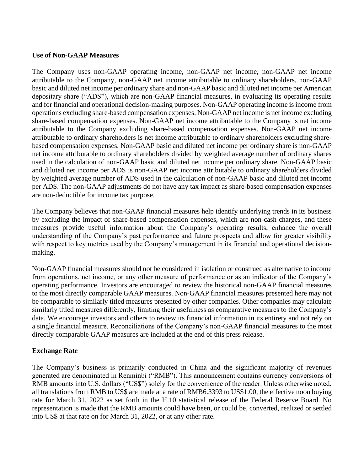## **Use of Non-GAAP Measures**

The Company uses non-GAAP operating income, non-GAAP net income, non-GAAP net income attributable to the Company, non-GAAP net income attributable to ordinary shareholders, non-GAAP basic and diluted net income per ordinary share and non-GAAP basic and diluted net income per American depositary share ("ADS"), which are non-GAAP financial measures, in evaluating its operating results and for financial and operational decision-making purposes. Non-GAAP operating income is income from operations excluding share-based compensation expenses. Non-GAAP net income is net income excluding share-based compensation expenses. Non-GAAP net income attributable to the Company is net income attributable to the Company excluding share-based compensation expenses. Non-GAAP net income attributable to ordinary shareholders is net income attributable to ordinary shareholders excluding sharebased compensation expenses. Non-GAAP basic and diluted net income per ordinary share is non-GAAP net income attributable to ordinary shareholders divided by weighted average number of ordinary shares used in the calculation of non-GAAP basic and diluted net income per ordinary share. Non-GAAP basic and diluted net income per ADS is non-GAAP net income attributable to ordinary shareholders divided by weighted average number of ADS used in the calculation of non-GAAP basic and diluted net income per ADS. The non-GAAP adjustments do not have any tax impact as share-based compensation expenses are non-deductible for income tax purpose.

The Company believes that non-GAAP financial measures help identify underlying trends in its business by excluding the impact of share-based compensation expenses, which are non-cash charges, and these measures provide useful information about the Company's operating results, enhance the overall understanding of the Company's past performance and future prospects and allow for greater visibility with respect to key metrics used by the Company's management in its financial and operational decisionmaking.

Non-GAAP financial measures should not be considered in isolation or construed as alternative to income from operations, net income, or any other measure of performance or as an indicator of the Company's operating performance. Investors are encouraged to review the historical non-GAAP financial measures to the most directly comparable GAAP measures. Non-GAAP financial measures presented here may not be comparable to similarly titled measures presented by other companies. Other companies may calculate similarly titled measures differently, limiting their usefulness as comparative measures to the Company's data. We encourage investors and others to review its financial information in its entirety and not rely on a single financial measure. Reconciliations of the Company's non-GAAP financial measures to the most directly comparable GAAP measures are included at the end of this press release.

## **Exchange Rate**

The Company's business is primarily conducted in China and the significant majority of revenues generated are denominated in Renminbi ("RMB"). This announcement contains currency conversions of RMB amounts into U.S. dollars ("US\$") solely for the convenience of the reader. Unless otherwise noted, all translations from RMB to US\$ are made at a rate of RMB6.3393 to US\$1.00, the effective noon buying rate for March 31, 2022 as set forth in the H.10 statistical release of the Federal Reserve Board. No representation is made that the RMB amounts could have been, or could be, converted, realized or settled into US\$ at that rate on for March 31, 2022, or at any other rate.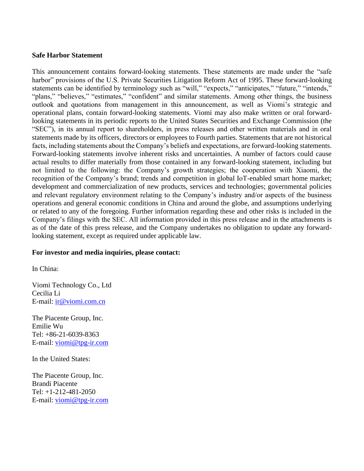#### **Safe Harbor Statement**

This announcement contains forward-looking statements. These statements are made under the "safe harbor" provisions of the U.S. Private Securities Litigation Reform Act of 1995. These forward-looking statements can be identified by terminology such as "will," "expects," "anticipates," "future," "intends," "plans," "believes," "estimates," "confident" and similar statements. Among other things, the business outlook and quotations from management in this announcement, as well as Viomi's strategic and operational plans, contain forward-looking statements. Viomi may also make written or oral forwardlooking statements in its periodic reports to the United States Securities and Exchange Commission (the "SEC"), in its annual report to shareholders, in press releases and other written materials and in oral statements made by its officers, directors or employees to Fourth parties. Statements that are not historical facts, including statements about the Company's beliefs and expectations, are forward-looking statements. Forward-looking statements involve inherent risks and uncertainties. A number of factors could cause actual results to differ materially from those contained in any forward-looking statement, including but not limited to the following: the Company's growth strategies; the cooperation with Xiaomi, the recognition of the Company's brand; trends and competition in global IoT-enabled smart home market; development and commercialization of new products, services and technologies; governmental policies and relevant regulatory environment relating to the Company's industry and/or aspects of the business operations and general economic conditions in China and around the globe, and assumptions underlying or related to any of the foregoing. Further information regarding these and other risks is included in the Company's filings with the SEC. All information provided in this press release and in the attachments is as of the date of this press release, and the Company undertakes no obligation to update any forwardlooking statement, except as required under applicable law.

## **For investor and media inquiries, please contact:**

In China:

Viomi Technology Co., Ltd Cecilia Li E-mail: [ir@viomi.com.cn](mailto:ir@viomi.com.cn)

The Piacente Group, Inc. Emilie Wu Tel: +86-21-6039-8363 E-mail: [viomi@tpg-ir.com](mailto:viomi@tpg-ir.com)

In the United States:

The Piacente Group, Inc. Brandi Piacente Tel: +1-212-481-2050 E-mail: [viomi@tpg-ir.com](mailto:viomi@tpg-ir.com)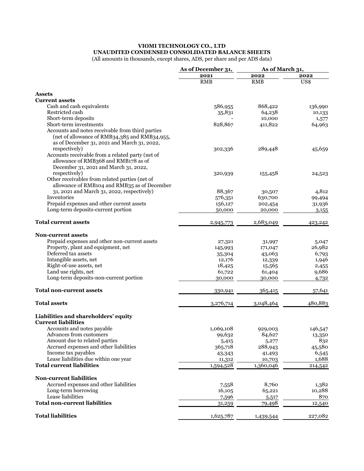### **VIOMI TECHNOLOGY CO., LTD UNAUDITED CONDENSED CONSOLIDATED BALANCE SHEETS**

(All amounts in thousands, except shares, ADS, per share and per ADS data)

|                                                                    | As of December 31, | As of March 31, |                 |
|--------------------------------------------------------------------|--------------------|-----------------|-----------------|
|                                                                    | 2021               | 2022            | 2022            |
|                                                                    | <b>RMB</b>         | RMB             | US\$            |
| <b>Assets</b>                                                      |                    |                 |                 |
| <b>Current assets</b>                                              |                    |                 |                 |
| Cash and cash equivalents                                          | 586,955            | 868,422         | 136,990         |
| Restricted cash                                                    | 35,831             | 64,238          | 10,133          |
| Short-term deposits                                                |                    | 10,000          | 1,577           |
| Short-term investments                                             | 828,867            | 411,822         | 64,963          |
| Accounts and notes receivable from third parties                   |                    |                 |                 |
| (net of allowance of RMB34,385 and RMB34,955,                      |                    |                 |                 |
| as of December 31, 2021 and March 31, 2022,                        |                    |                 |                 |
| respectively)                                                      | 302,336            | 289,448         | 45,659          |
| Accounts receivable from a related party (net of                   |                    |                 |                 |
| allowance of RMB368 and RMB178 as of                               |                    |                 |                 |
| December 31, 2021 and March 31, 2022,                              |                    |                 |                 |
| respectively)                                                      | 320,939            | 155,458         | 24,523          |
| Other receivables from related parties (net of                     |                    |                 |                 |
| allowance of RMB104 and RMB35 as of December                       |                    |                 |                 |
| 31, 2021 and March 31, 2022, respectively)                         | 88,367             | 30,507          | 4,812           |
| Inventories                                                        | 576,351            | 630,700         | 99,494          |
| Prepaid expenses and other current assets                          | 156,127            | 202,454         | 31,936          |
| Long-term deposits-current portion                                 | 50,000             | 20,000          | 3,155           |
| <b>Total current assets</b>                                        | 2,945,773          | 2,683,049       | 423,242         |
|                                                                    |                    |                 |                 |
| <b>Non-current assets</b>                                          |                    |                 |                 |
| Prepaid expenses and other non-current assets                      | 27,321             | 31,997          | 5,047           |
| Property, plant and equipment, net                                 | 145,993            | 171,047         | 26,982          |
| Deferred tax assets                                                | 35,304             | 43,063          | 6,793           |
| Intangible assets, net                                             | 12,176             | 12,339          | 1,946           |
| Right-of-use assets, net                                           | 18,425             | 15,565          | 2,455           |
| Land use rights, net                                               | 61,722             | 61,404          | 9,686           |
| Long-term deposits-non-current portion                             | 30,000             | 30,000          | 4,732           |
| <b>Total non-current assets</b>                                    | 330,941            | 365,415         | 57,641          |
| <b>Total assets</b>                                                | 3,276,714          | 3,048,464       | 480,883         |
|                                                                    |                    |                 |                 |
| Liabilities and shareholders' equity<br><b>Current liabilities</b> |                    |                 |                 |
| Accounts and notes payable                                         | 1,069,108          | 929,003         | 146,547         |
| Advances from customers                                            | 99,632             | 84,627          | 13,350          |
| Amount due to related parties                                      | 5,415              | 5,277           | 832             |
| Accrued expenses and other liabilities                             | 365,718            | 288,943         | 45,580          |
| Income tax payables                                                | 43,343             | 41,493          | 6,545           |
| Lease liabilities due within one year                              | 11,312             | 10,703          | 1,688           |
| <b>Total current liabilities</b>                                   | 1,594,528          | 1,360,046       | 214,542         |
| <b>Non-current liabilities</b>                                     |                    |                 |                 |
| Accrued expenses and other liabilities                             |                    | 8,760           |                 |
| Long-term borrowing                                                | 7,558<br>16,105    | 65,221          | 1,382<br>10,288 |
| Lease liabilities                                                  | 7,596              |                 | 870             |
| <b>Total non-current liabilities</b>                               | 31,259             | 5,517<br>79,498 | 12,540          |
|                                                                    |                    |                 |                 |
| <b>Total liabilities</b>                                           | 1,625,787          | 1,439,544       | 227,082         |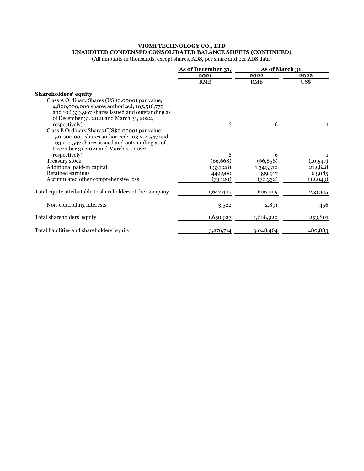### **VIOMI TECHNOLOGY CO., LTD**

### **UNAUDITED CONDENSED CONSOLIDATED BALANCE SHEETS (CONTINUED)**

(All amounts in thousands, except shares, ADS, per share and per ADS data)

|                                                                                          | As of December 31, | As of March 31, |              |
|------------------------------------------------------------------------------------------|--------------------|-----------------|--------------|
|                                                                                          | 2021               | 2022            | 2022         |
|                                                                                          | <b>RMB</b>         | <b>RMB</b>      | US\$         |
| Shareholders' equity                                                                     |                    |                 |              |
| Class A Ordinary Shares (US\$0.00001 par value;                                          |                    |                 |              |
| 4,800,000,000 shares authorized; 105,516,779                                             |                    |                 |              |
| and 106,333,967 shares issued and outstanding as                                         |                    |                 |              |
| of December 31, 2021 and March 31, 2022,                                                 |                    |                 |              |
| respectively)                                                                            | 6                  | 6               | $\mathbf{1}$ |
| Class B Ordinary Shares (US\$0.00001 par value;                                          |                    |                 |              |
| 150,000,000 shares authorized; 103,214,547 and                                           |                    |                 |              |
| 103,214,547 shares issued and outstanding as of<br>December 31, 2021 and March 31, 2022, |                    |                 |              |
| respectively)                                                                            | 6                  | 6               | 1            |
| Treasury stock                                                                           | (66, 668)          | (66, 858)       | (10, 547)    |
| Additional paid-in capital                                                               | 1,337,281          | 1,349,310       | 212,848      |
| Retained earnings                                                                        | 449,900            | 399,917         | 63,085       |
| Accumulated other comprehensive loss                                                     | (73, 120)          | (76,352)        | (12, 043)    |
| Total equity attributable to shareholders of the Company                                 | 1,647,405          | 1,606,029       | 253,345      |
| Non-controlling interests                                                                | 3,522              | 2,891           | 456          |
| Total shareholders' equity                                                               | 1,650,927          | 1,608,920       | 253,801      |
| Total liabilities and shareholders' equity                                               | 3,276,714          | 3,048,464       | 480,883      |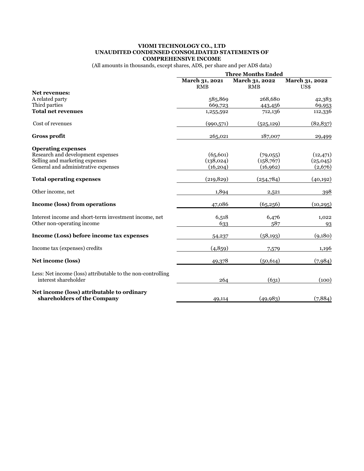#### **VIOMI TECHNOLOGY CO., LTD UNAUDITED CONDENSED CONSOLIDATED STATEMENTS OF COMPREHENSIVE INCOME**

(All amounts in thousands, except shares, ADS, per share and per ADS data)

|                                                             | <b>Three Months Ended</b>    |                              |                        |
|-------------------------------------------------------------|------------------------------|------------------------------|------------------------|
|                                                             | March 31, 2021<br><b>RMB</b> | March 31, 2022<br><b>RMB</b> | March 31, 2022<br>US\$ |
| <b>Net revenues:</b>                                        |                              |                              |                        |
| A related party                                             | 585,869                      | 268,680                      | 42,383                 |
| Third parties                                               | 669,723                      | 443,456                      | 69,953                 |
| <b>Total net revenues</b>                                   | 1,255,592                    | 712,136                      | 112,336                |
| Cost of revenues                                            | (990, 571)                   | (525, 129)                   | (82, 837)              |
| <b>Gross profit</b>                                         | 265,021                      | 187,007                      | 29,499                 |
| <b>Operating expenses</b>                                   |                              |                              |                        |
| Research and development expenses                           | (65, 601)                    | (79,055)                     | (12, 471)              |
| Selling and marketing expenses                              | (138, 024)                   | (158, 767)                   | (25, 045)              |
| General and administrative expenses                         | (16, 204)                    | (16,962)                     | (2,676)                |
| <b>Total operating expenses</b>                             | (219, 829)                   | (254,784)                    | (40, 192)              |
| Other income, net                                           | 1,894                        | 2,521                        | 398                    |
| Income (loss) from operations                               | 47,086                       | (65, 256)                    | (10, 295)              |
| Interest income and short-term investment income, net       | 6,518                        | 6,476                        | 1,022                  |
| Other non-operating income                                  | 633                          | 587                          | 93                     |
| Income (Loss) before income tax expenses                    | 54,237                       | (58, 193)                    | (9,180)                |
| Income tax (expenses) credits                               | (4,859)                      | 7,579                        | 1,196                  |
| Net income (loss)                                           | 49,378                       | (50, 614)                    | (7,984)                |
| Less: Net income (loss) attributable to the non-controlling |                              |                              |                        |
| interest shareholder                                        | 264                          | (631)                        | (100)                  |
| Net income (loss) attributable to ordinary                  |                              |                              |                        |
| shareholders of the Company                                 | 49,114                       | (49, 983)                    | (7, 884)               |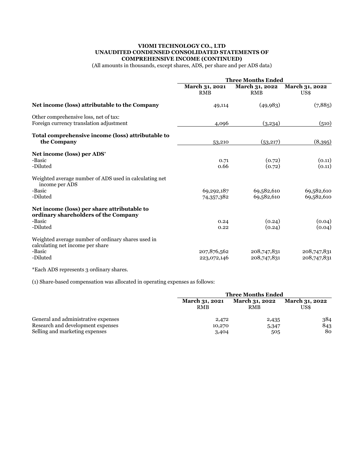#### **VIOMI TECHNOLOGY CO., LTD UNAUDITED CONDENSED CONSOLIDATED STATEMENTS OF COMPREHENSIVE INCOME (CONTINUED)**

(All amounts in thousands, except shares, ADS, per share and per ADS data)

|                                                                                                              | <b>Three Months Ended</b>    |                              |                            |
|--------------------------------------------------------------------------------------------------------------|------------------------------|------------------------------|----------------------------|
|                                                                                                              | March 31, 2021<br><b>RMB</b> | March 31, 2022<br><b>RMB</b> | March 31, 2022<br>US\$     |
| Net income (loss) attributable to the Company                                                                | 49,114                       | (49, 983)                    | (7,885)                    |
| Other comprehensive loss, net of tax:<br>Foreign currency translation adjustment                             | 4,096                        | (3,234)                      | (510)                      |
| Total comprehensive income (loss) attributable to<br>the Company                                             | 53,210                       | (53,217)                     | (8,395)                    |
| Net income (loss) per ADS*<br>-Basic<br>-Diluted                                                             | 0.71<br>0.66                 | (0.72)<br>(0.72)             | (0.11)<br>(0.11)           |
| Weighted average number of ADS used in calculating net<br>income per ADS<br>-Basic<br>-Diluted               | 69,292,187<br>74,357,382     | 69,582,610<br>69,582,610     | 69,582,610<br>69,582,610   |
| Net income (loss) per share attributable to<br>ordinary shareholders of the Company<br>-Basic<br>-Diluted    | 0.24<br>0.22                 | (0.24)<br>(0.24)             | (0.04)<br>(0.04)           |
| Weighted average number of ordinary shares used in<br>calculating net income per share<br>-Basic<br>-Diluted | 207,876,562<br>223,072,146   | 208,747,831<br>208,747,831   | 208,747,831<br>208,747,831 |

\*Each ADS represents 3 ordinary shares.

(1) Share-based compensation was allocated in operating expenses as follows:

| <b>Three Months Ended</b>    |                                     |                               |
|------------------------------|-------------------------------------|-------------------------------|
| <b>March 31, 2021</b><br>RMB | <b>March 31, 2022</b><br><b>RMB</b> | <b>March 31, 2022</b><br>US\$ |
|                              | 2,435                               | 384                           |
|                              | 5,347                               | 843<br>80                     |
|                              | 3,404                               | 2,472<br>10,270<br>505        |